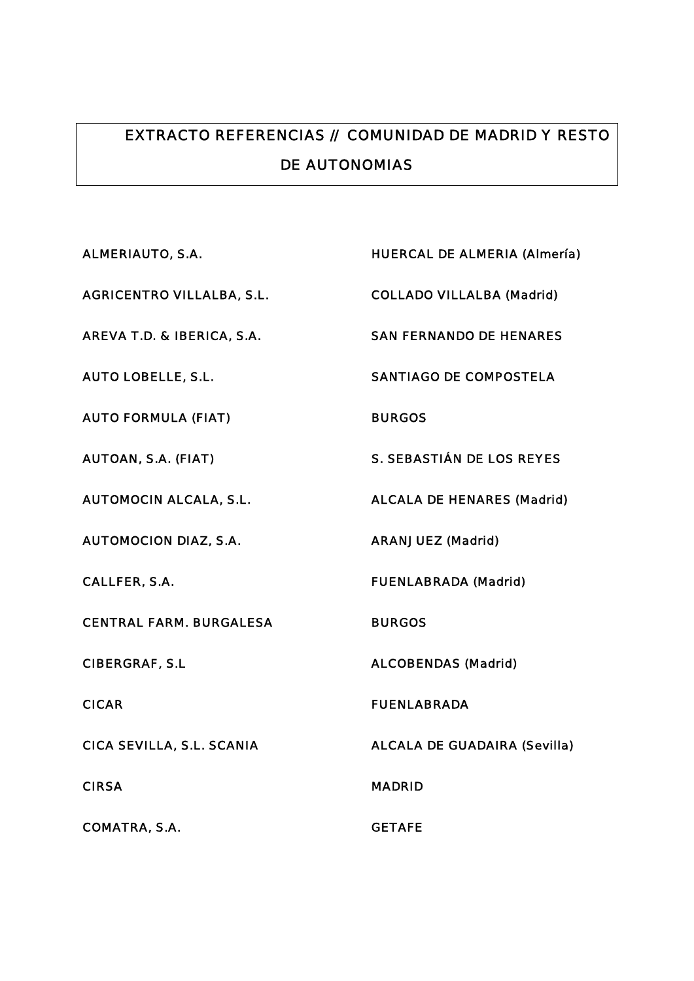## EXTRACTO REFERENCIAS // COMUNIDAD DE MADRID Y RESTO DE AUTONOMIAS

| <b>ALMERIAUTO, S.A.</b>          | <b>HUERCAL DE ALMERIA (Almería)</b> |
|----------------------------------|-------------------------------------|
| <b>AGRICENTRO VILLALBA, S.L.</b> | <b>COLLADO VILLALBA (Madrid)</b>    |
| AREVA T.D. & IBERICA, S.A.       | <b>SAN FERNANDO DE HENARES</b>      |
| <b>AUTO LOBELLE, S.L.</b>        | <b>SANTIAGO DE COMPOSTELA</b>       |
| <b>AUTO FORMULA (FIAT)</b>       | <b>BURGOS</b>                       |
| <b>AUTOAN, S.A. (FIAT)</b>       | <b>S. SEBASTIÁN DE LOS REYES</b>    |
| <b>AUTOMOCIN ALCALA, S.L.</b>    | <b>ALCALA DE HENARES (Madrid)</b>   |
| <b>AUTOMOCION DIAZ, S.A.</b>     | <b>ARANJUEZ (Madrid)</b>            |
| <b>CALLFER, S.A.</b>             | <b>FUENLABRADA (Madrid)</b>         |
| <b>CENTRAL FARM. BURGALESA</b>   | <b>BURGOS</b>                       |
| <b>CIBERGRAF, S.L</b>            | <b>ALCOBENDAS (Madrid)</b>          |
| <b>CICAR</b>                     | <b>FUENLABRADA</b>                  |
| CICA SEVILLA, S.L. SCANIA        | <b>ALCALA DE GUADAIRA (Sevilla)</b> |
| <b>CIRSA</b>                     | <b>MADRID</b>                       |
| <b>COMATRA, S.A.</b>             | <b>GETAFE</b>                       |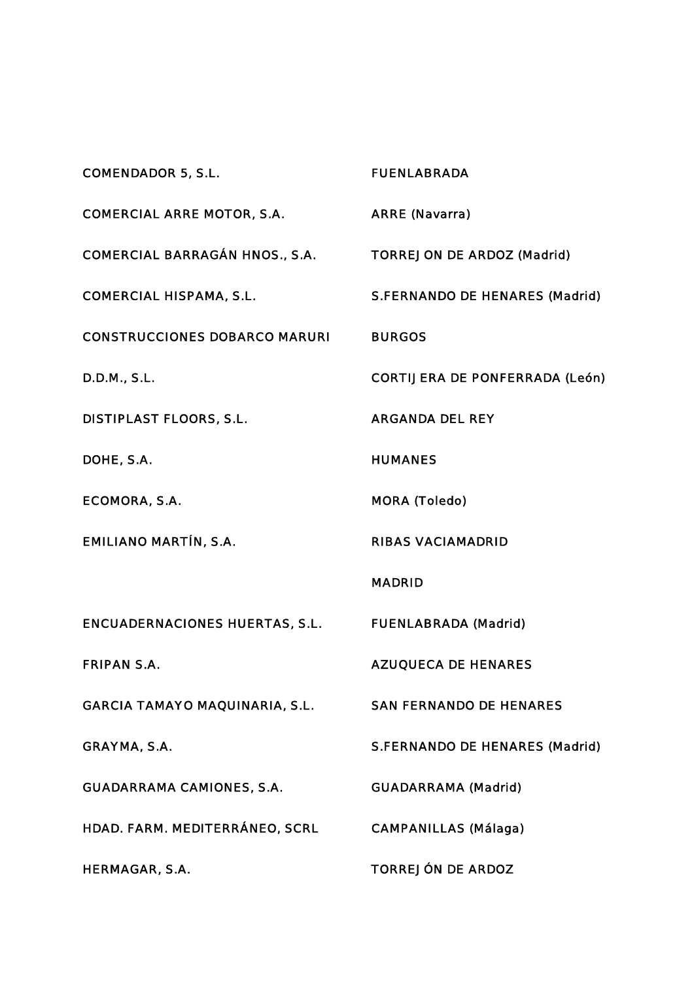COMENDADOR 5, S.L. FUENLABRADA COMERCIAL ARRE MOTOR, S.A. ARRE (Navarra) COMERCIAL BARRAGÁN HNOS., S.A. TORREJON DE ARDOZ (Madrid) COMERCIAL HISPAMA, S.L. S.FERNANDO DE HENARES (Madrid) CONSTRUCCIONES DOBARCO MARURI BURGOS D.D.M., S.L. CORTIJERA DE PONFERRADA (León) DISTIPLAST FLOORS, S.L. ARGANDA DEL REY DOHE, S.A. HUMANES ECOMORA, S.A. MORA (Toledo) EMILIANO MARTÍN, S.A. RIBAS VACIAMADRID MADRID ENCUADERNACIONES HUERTAS, S.L. FUENLABRADA (Madrid) FRIPAN S.A. AZUQUECA DE HENARES GARCIA TAMAYO MAQUINARIA, S.L. SAN FERNANDO DE HENARES GRAYMA, S.A. S. S.FERNANDO DE HENARES (Madrid) GUADARRAMA CAMIONES, S.A. GUADARRAMA (Madrid) HDAD. FARM. MEDITERRÁNEO, SCRL CAMPANILLAS (Málaga) HERMAGAR, S.A. TORREJÓN DE ARDOZ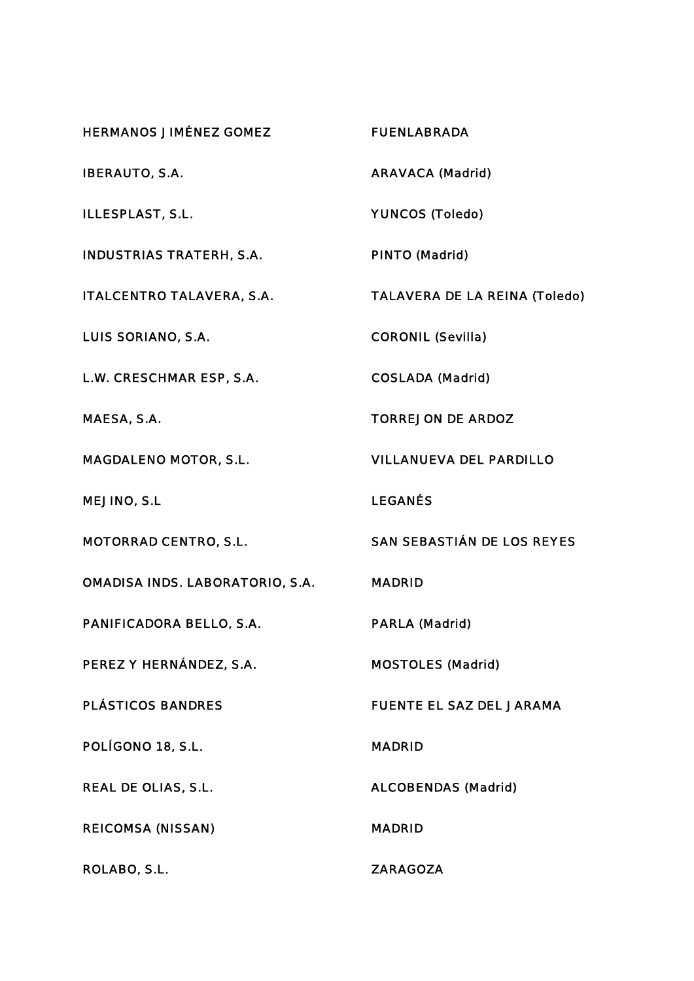| <b>HERMANOS JIMÉNEZ GOMEZ</b>          | <b>FUENLABRADA</b>                   |
|----------------------------------------|--------------------------------------|
| <b>IBERAUTO, S.A.</b>                  | <b>ARAVACA (Madrid)</b>              |
| ILLESPLAST, S.L.                       | <b>YUNCOS (Toledo)</b>               |
| <b>INDUSTRIAS TRATERH, S.A.</b>        | <b>PINTO (Madrid)</b>                |
| <b>ITALCENTRO TALAVERA, S.A.</b>       | <b>TALAVERA DE LA REINA (Toledo)</b> |
| <b>LUIS SORIANO, S.A.</b>              | <b>CORONIL (Sevilla)</b>             |
| L.W. CRESCHMAR ESP, S.A.               | <b>COSLADA (Madrid)</b>              |
| MAESA, S.A.                            | <b>TORREJON DE ARDOZ</b>             |
| <b>MAGDALENO MOTOR, S.L.</b>           | <b>VILLANUEVA DEL PARDILLO</b>       |
| <b>MEJINO, S.L</b>                     | <b>LEGANÉS</b>                       |
| <b>MOTORRAD CENTRO, S.L.</b>           | <b>SAN SEBASTIÁN DE LOS REYES</b>    |
| <b>OMADISA INDS. LABORATORIO, S.A.</b> | <b>MADRID</b>                        |
| PANIFICADORA BELLO, S.A.               | <b>PARLA (Madrid)</b>                |
| PEREZ Y HERNÁNDEZ, S.A.                | <b>MOSTOLES (Madrid)</b>             |
| <b>PLÁSTICOS BANDRES</b>               | <b>FUENTE EL SAZ DEL JARAMA</b>      |
| POLÍGONO 18, S.L.                      | MADRID                               |
| <b>REAL DE OLIAS, S.L.</b>             | <b>ALCOBENDAS (Madrid)</b>           |
| <b>REICOMSA (NISSAN)</b>               | <b>MADRID</b>                        |
| ROLABO, S.L.                           | <b>ZARAGOZA</b>                      |